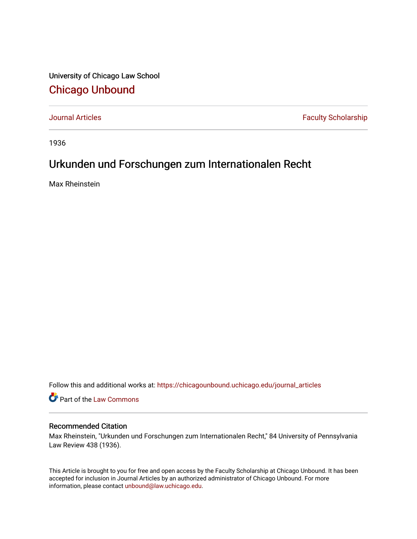University of Chicago Law School [Chicago Unbound](https://chicagounbound.uchicago.edu/)

[Journal Articles](https://chicagounbound.uchicago.edu/journal_articles) **Faculty Scholarship Faculty Scholarship** 

1936

## Urkunden und Forschungen zum Internationalen Recht

Max Rheinstein

Follow this and additional works at: [https://chicagounbound.uchicago.edu/journal\\_articles](https://chicagounbound.uchicago.edu/journal_articles?utm_source=chicagounbound.uchicago.edu%2Fjournal_articles%2F9578&utm_medium=PDF&utm_campaign=PDFCoverPages) 

Part of the [Law Commons](http://network.bepress.com/hgg/discipline/578?utm_source=chicagounbound.uchicago.edu%2Fjournal_articles%2F9578&utm_medium=PDF&utm_campaign=PDFCoverPages)

## Recommended Citation

Max Rheinstein, "Urkunden und Forschungen zum Internationalen Recht," 84 University of Pennsylvania Law Review 438 (1936).

This Article is brought to you for free and open access by the Faculty Scholarship at Chicago Unbound. It has been accepted for inclusion in Journal Articles by an authorized administrator of Chicago Unbound. For more information, please contact [unbound@law.uchicago.edu](mailto:unbound@law.uchicago.edu).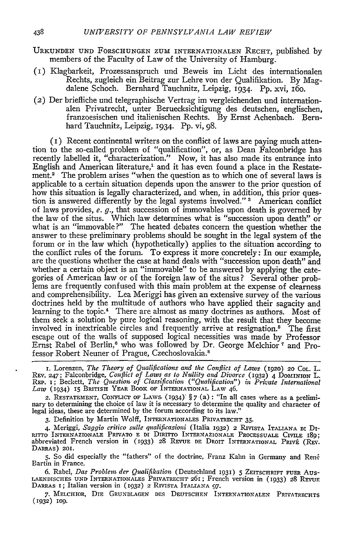- URKUNDEN UND FORSCHUNGEN ZUM INTERNATIONALEN RECHT, published by members of the Faculty of Law of the University of Hamburg.
- (i) Klagbarkeit, Prozessanspruch und Beweis im Licht des internationalen Rechts, zugleich ein Beitrag zur Lehre von der Qualifikation. By Magdalene Schoch. Bernhard Tauchnitz, Leipzig, 1934. Pp. xvi, i6o.
- (2) Der briefliche und telegraphische Vertrag im vergleichenden und internationalen Privatrecht, unter Beruecksichtigung des deutschen, englischen, franzoesischen und italienischen Rechts. By Ernst Achenbach. Bernhard Tauchnitz, Leipzig, 1934. Pp. vi, 98.

(i) Recent continental writers on the conflict of laws are paying much attention to the so-called problem of "qualification", or, as Dean Falconbridge has recently labelled it, "characterization." Now, it has also made its entrance into English and American literature,' and it has even found a place in the Restatement.2 The problem arises "when the question as to which one of several laws is applicable to a certain situation depends upon the answer to the prior question of how this situation is legally characterized, and when, in addition, this prior question is answered differently by the legal systems involved." **3** American conflict of laws provides, e. *g.,* that succession of immovables upon death is governed by the law of the situs. Which law determines what is "succession upon death" or what is an "immovable?" The heated debates concern the question whether the answer to these preliminary problems should be sought in the legal system of the forum or in the law which (hypothetically) applies to the situation according to the conflict rules of the forum. To express it more concretely: In our example, are the questions whether the case at hand deals with "succession upon death" and whether a certain object is an "immovable" to be answered by applying the categories of American law or of the foreign law of the situs? Several other problems are frequently confused with this main problem at the expense of clearness and comprehensibility. Lea Meriggi has given an extensive survey of the various doctrines held by the multitude of authors who have applied their sagacity and learning to the topic.<sup>4</sup> There are almost as many doctrines as authors. Most of them seek a solution by pure logical reasoning, with the result that they become involved in inextricable circles and frequently arrive at resignation.<sup>5</sup> The first escape out of the walls of supposed logical necessities was made by Professor Ernst Rabel of Berlin,<sup>6</sup> who was followed by Dr. George Melchior<sup>7</sup> and Professor Robert Neuner of Prague, Czechoslovakia.<sup>8</sup>

**I.** Lorenzen, *The Theory of Qualifications and the Conflict of Laws* (1920) **20 COL.** L. REV. 247; Falconbridge, *Conflict of Laws as to Nullity and Divorce* (1932) 4 **DoMINioN** L. REP. I; Beckett, *The Question of Classification ("Qualification") in Private International Law* (1934) **15** BRITISH YEAR BOOK OF **INTERNATIONAL** LAW 46.

2. RESTATEMENT, CONFuCr OF LAWS. (1934) § 7 (a) : "In all cases where as a preliminary to determining the choice of lav it is necessary to determine the quality and character of legal ideas, these are determined by the forum according to its law."

**3.** Definition by Martin Wolff, **INTERNATIONALES** PRIVATRECHT **35.**

4. Meriggi, Saggio critico sulle qualificazioni (Italia 1932) 2 RIVISTA ITALIANA DI DINITTO INTERNAZIONALE PRIVATO E DI DIRITTO INTERNAZIONALE PROCESSUALE CIVILE 189<br>abbreviated French version in (1933) 28 REVUE DE DROIT I DARRAS) **201.**

5. So did especially the "fathers" of the doctrine, Franz Kahn in Germany and Ren6 Bartin in France.

6. Rabel, *Das Problem der Qualifikation* (Deutschland 193) **5** ZEITSCHRIFr **FUER** Aus- **LAENDISCHES UND INTERNATIONALES** PRIVATRECHT 261; French version in (1933) **28** Rzvu. DARRAS **I;** Italian version in (1932) **2 RrvisTA ITALIANA** *97.*

**7.** MELCHIOR, DIE GRUNDLAGEN DES **DEUTSCHEN** INTERNATIONALEN PRIVATRECHTS **(1932) 109.**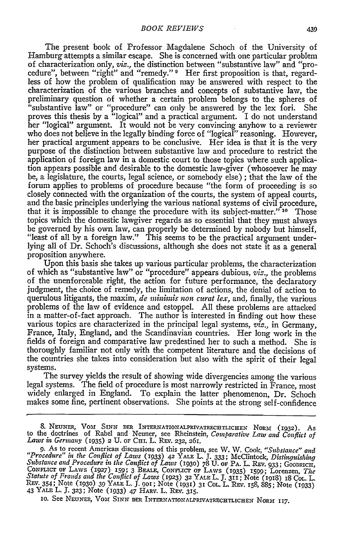The present book of Professor Magdalene Schoch of the University of Hamburg attempts a similar escape. She is concerned with one particular problem of characterization only, *viz.,* the distinction between "substantive law" and "procedure", between "right" and "remedy." **1** Her first proposition is that, regardless of how the problem of qualification may be answered with respect to the characterization of the various branches and concepts of substantive law, the "substantive law" or "procedure" can only be answered by the lex fori. She proves this thesis by a "logical" and a practical argument. I do not understand her "logical" argument. It would not be very convincing anyhow to a reviewer who does not believe in the legally binding force of "logical" reasoning. However, her practical argument appears to be conclusive. Her idea is that it is the very purpose of the distinction between substantive law and procedure to restrict the application of foreign law in a domestic court to those topics where such application appears possible and desirable to the domestic law-giver (whosoever he may be, a legislature, the courts, legal science, or somebody else) ; that the law of the forum applies to problems of procedure because "the form of proceeding is so closely connected with the organization of the courts, the system of appeal courts, and the basic principles underlying the various national systems of civil procedure, that it is impossible to change the procedure with its subject-matter." **10** Those topics which the domestic lawgiver regards as so essential that they must always be governed by his own law, can properly be determined by nobody but himself, "least of all by a foreign law." This seems to be the practical argument underlying all of Dr. Schoch's discussions, although she does not state it as a general proposition anywhere.

Upon this basis she takes up various particular problems, the characterization of which as "substantive law" or "procedure" appears dubious, *viz.,* the problems of the unenforceable right, the action for future performance, the declaratory judgment, the choice of remedy, the limitation of actions, the denial of action to querulous litigants, the maxim, *de ininimis non curat lex,* and, finally, the various problems of the law of evidence and estoppel. All these problems are attacked in a matter-of-fact approach. The author is interested in finding out how these various topics are characterized in the principal legal systems, *viz.,* in Germany, France, Italy, England, and the Scandinavian countries. Her long work in the fields of foreign and comparative law predestined her to such a method. She is thoroughly familiar not only with the competent literature and the decisions of the countries she takes into consideration but also with the spirit of their legal systems.

The survey yields the result of showing wide divergencies among the various legal systems. The field of procedure is most narrowly restricted in France, most widely enlarged in England. To explain the latter phenomenon, Dr. Schoch makes some fine, pertinent observations. She points at the strong self-confidence

<sup>8.</sup> NEUNER, VOM SINN DER INTERNATIONALPRIVATRECHTLICHEN NORM (1932). As<br>to the doctrines of Rabel and Neuner, see Rheinstein, *Comparative Law and Conflict of Laws i Germany* (1935) 2 U. OF **CH1.** L. Ray. **232,** 261.

<sup>9.</sup> As to recent American discussions of this problem, see W. W. Cook, "Substance" and<br>"Procedure" in the Conflict of Laws (1933) 42 YALE L. J. 333; McClintock, Distinguishing<br>Substance and Procedure in the Conflict of Laws CONFLICT OF LAWS (1927) 159; 3 BEALE, CONFLICT OF LAWS (1935) 1599; 35, GOODKICH,<br>Statute of Frands and the Conflict of Laws (1923) 32 YALE L. J. 311; Note (1918) 18 Col. L.<br>REV. 354; Note (1930) 39 YALE L. J. 901; Note (1 **IO. See NEUNER, VOM SINN DER INTERNATIONALPRIVATRECHTLICHEN NORM 117.**<br> **IO. See NEUNER, VOM SINN DER INTERNATIONALPRIVATRECHTLICHEN NORM 117.**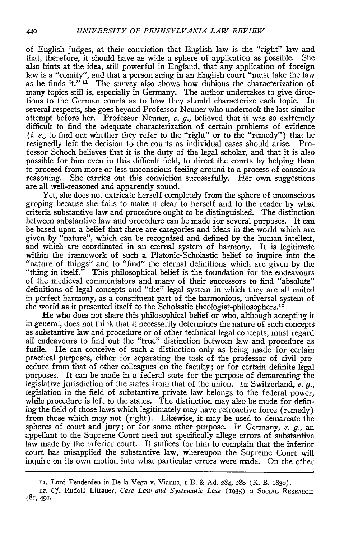of English judges, at their conviction that English law is the "right" law and that, therefore, it should have as wide a sphere of application as possible. She also hints at the idea, still powerful in England, that any application of foreign law is a "comity", and that a person suing in an English court "must take the law as he finds it." **11** The survey also shows how dubious the characterization of many topics still is, especially in Germany. The author undertakes to give directions to the German courts as to how they should characterize each topic. In several respects, she goes beyond Professor Neuner who undertook the last similar attempt before her. Professor Neuner, *e. g.,* believed that it was so extremely difficult to find the adequate characterization of certain problems of evidence *(i. e,* to find out whether they refer to the "right" or to the "remedy") that he resignedly left the decision to the courts as individual cases should arise. Professor Schoch believes that it is the duty of the legal scholar, and that it is also possible for him even in this difficult field, to direct the courts by helping them to proceed from more or less unconscious feeling around to a process **of** conscious reasoning. She carries out this conviction successfully. Her own suggestions are all well-reasoned and apparently sound.

Yet, she does not extricate herself completely from the sphere of unconscious groping because she fails to make it clear to herself and to the reader by what criteria substantive law and procedure ought to be distinguished. The distinction between substantive law and procedure can be made for several purposes. It can be based upon a belief that there are categories and ideas in the world which are given by "nature", which can be recognized and defined by the human intellect, and which are coordinated in an eternal system of harmony. It is legitimate within the framework of such a Platonic-Scholastic belief to inquire into the "nature of things" and to "find" the eternal definitions which are given by the "thing in itself." This philosophical belief is the foundation for the endeavours of the medieval commentators and many of their successors to find "absolute" definitions of legal concepts and "the" legal system in which they are all united in perfect harmony, as a constituent part of the harmonious, universal system of the world as it presented itself to the Scholastic theologist-philosophers.<sup>12</sup>

He who does not share this philosophical belief or who, although accepting it in general, does not think that it necessarily determines the nature of such concepts as substantive law and procedure or of other technical legal concepts, must regard all endeavours to find out the "true" distinction between law and procedure as futile. He can conceive of such a distinction only as being made for certain practical purposes, either for separating the task of the professor of civil procedure from that of other colleagues on the faculty; or for certain definite legal purposes. It can **be** made in a federal state for the purpose of demarcating the legislative jurisdiction of the states from that of the union. In Switzerland, *e. g.,* legislation in the field of substantive private law belongs to the federal power, while procedure is left to the states. The distinction may also be made for defining the field of those laws which legitimately may have retroactive force (remedy) from those which may not (right). Likewise, it may be used to demarcate the spheres of court and jury; or for some other purpose. In Germany, *e. g.,* an appellant to the Supreme Court need not specifically allege errors of substantive law made by the inferior court. It suffices for him to complain that the inferior court has misapplied the substantive law, whereupon the Supreme Court will inquire on its own motion into what particular errors were made. On the other

ii. Lord Tenderden in De la Vega v. Vianna, I B. & Ad. 284, 288 (K. B. 1830).

**<sup>12.</sup>** *Cf.* Rudolf Littauer, *Case Law and Systenatic Law* (1935) 2 SociAL REsEARcH 481, **491.**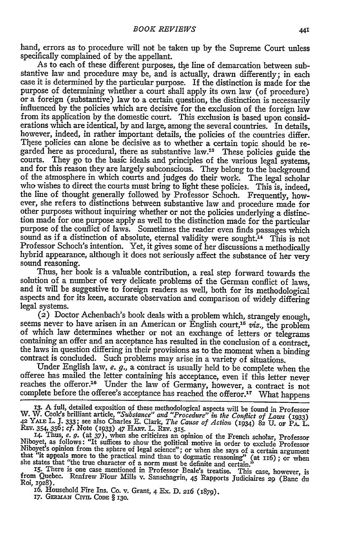hand, errors as to procedure will not be taken up by the Supreme Court unless specifically complained of by the appellant.

As to each of these different purposes, the line of demarcation between substantive law and procedure may be, and is actually, drawn differently; in each case it is determined by the particular purpose. If the distinction is made for the purpose of determining whether a court shall apply its own law (of procedure) or a foreign (substantive) law to a certain question, the distinction is necessarily influenced by the policies which are decisive for the exclusion of the foreign law from its application by the domestic court. This exclusion is based upon considerations which are identical, by and large, among the several countries. In details, however, indeed, in rather important details, the policies of the countries differ. These policies can alone be decisive as to whether a certain topic should be regarded here as procedural, there as substantive law.<sup>18</sup> These policies guide the courts. They go to the basic ideals and principles of the various legal systems, courts. They go to the basic ideals and principles of the various legal systems, and for this reason they are largely subconscious. They belong to the background of the atmosphere in which courts and judges do their work. who wishes to direct the courts must bring to light these policies. This is, indeed, the line of thought generally followed by Professor Schoch. Frequently, however, she refers to distinctions between substantive law and procedure made for other purposes without inquiring whether or not the policies underlying a distinction made for one purpose apply as well to the distinction made for the particular purpose of the conflict of laws. Sometimes the reader even finds passages which sound as if a distinction of absolute, eternal validity were sought.<sup>14</sup> This is not Professor Schoch's intention. Yet, it gives some of her discussions a methodically hybrid appearance, although it does not seriously affect the substance of her very sound reasoning.

Thus, her book is a valuable contribution, a real step forward towards the solution of a number of very delicate problems of the German conflict of laws, and it will be suggestive to foreign readers as well, both for its methodological aspects and for its keen, accurate observation and comparison of widely differing legal systems.

(2) Doctor Achenbach's book deals with a problem which, strangely enough, seems never to have arisen in an American or English court,<sup>15</sup> viz., the problem of which law determines whether or not an exchange of letters or telegrams containing an offer and an acceptance has resulted in the conclus the laws in question differing in their provisions as to the moment when a binding contract is concluded. Such problems may arise in a variety of situations.

Under English law, *e. g.,* a contract is usually held to be complete when the offeree has mailed the letter containing his acceptance, even if this letter never reaches the offeror.<sup>16</sup> Under the law of Germany, however, a contract is not complete before the offeree's acceptance has reached the offeror.<sup>17</sup> What happens

**13.** A full, detailed exposition of these methodological aspects will be found in Professor W. W. Cook's brilliant article, "Substance" and "Procedure" in the Conflict of Laws (1933)<br>42 YALE L. J. 333; see also Charles E. Clark, The Cause of Action (1934) 82 U. or PA. L.<br>REV. 354, 356; cf. Note (1933) 47 HARV. L.

**14.** Thus, *e. g.* (at **37),** when she criticizes an opinion of the French scholar, Professor Niboyet, as follows: "It suffices to show the political motive in order to exclude Professor Niboyet's opinion from the sphere of legal science"; or when she says of a certain argument<br>that "it appeals more to the practical mind than to dogmatic reasoning" (at 116); or when<br>she states that "the true character of a

Roi, **1928).**

**I6.** Household Fire Ins. Co. v. Grant, 4 Ex. **D. 216** (i879). **17.** *GERMAN* CIVIL **CODE** § **130.**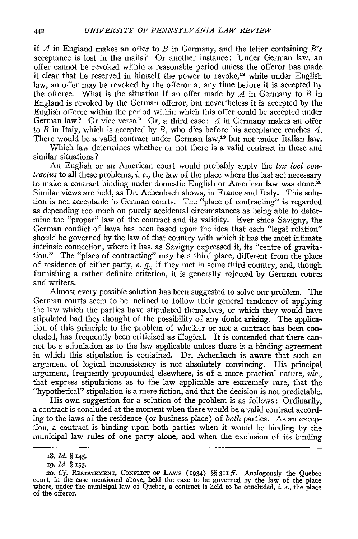if *A* in England makes an offer to *B* in Germany, and the letter containing *B's* acceptance is lost in the mails? Or another instance: Under German law, an offer cannot be revoked within a reasonable period unless the offeror has made it clear that he reserved in himself the power to revoke,<sup>18</sup> while under English law, an offer may be revoked by the offeror at any time before it is accepted by the offeree. What is the situation if an offer made by *A* in Germany to *B* in England is revoked by the German offeror, but nevertheless it is accepted by the English offeree within the period within which this offer could be accepted under German law? Or vice versa? Or, a third case: *A* in Germany makes an offer to *B* in Italy, which is accepted **by** *B,* who dies before his acceptance reaches *A.* There would be a valid contract under German law,<sup>19</sup> but not under Italian law.

Which law determines whether or not there is a valid contract in these and similar situations **?**

An English or an American court would probably apply the *lex loci contractus* to all these problems, *i. e.,* the law of the place where the last act necessary to make a contract binding under domestic English or American law was done.<sup>20</sup> Similar views are held, as Dr. Achenbach shows, in France and Italy. This solution is not acceptable to German courts. The "place of contracting" is regarded as depending too much on purely accidental circumstances as being able to determine the "proper" law of the contract and its validity. Ever since Savigny, the German conflict of laws has been based upon the idea that each "legal relation" should be governed **by** the law of that country with which it has the most intimate intrinsic connection, where it has, as Savigny expressed it, its "centre of gravitation." The "place of contracting" may be a third place, different from the place of residence of either party, *e. g.,* if they met in some third country, and, though furnishing a rather definite criterion, it is generally rejected **by** German courts and writers.

Almost every possible solution has been suggested to solve our problem. The German courts seem to be inclined to follow their general tendency of applying the law which the parties have stipulated themselves, or which they would have stipulated had they thought of the possibility of any doubt arising. The application of this principle to the problem of whether or not a contract has been concluded, has frequently been criticized as illogical. It is contended that there cannot be a stipulation as to the law applicable unless there is a binding agreement in which this stipulation is contained. Dr. Achenbach is aware that such an argument of logical inconsistency is not absolutely convincing. His principal argument, frequently propounded elsewhere, is of a more practical nature, *viz.,* that express stipulations as to the law applicable are extremely rare, that the "hypothetical" stipulation is a mere fiction, and that the decision is not predictable.

His own suggestion for a solution of the problem is as follows: Ordinarily, a contract is concluded at the moment when there would be a valid contract according to the laws of the residence (or business place) of *both* parties. As an exception, a contract is binding upon both parties when it would be binding by the municipal law rules of one party alone, and when the exclusion of its binding

**<sup>18.</sup>** *Id. §* **145.**

ig. *Id. §* 153.

<sup>20.</sup> Cf. RESTATEMENT, CONFLICT OF LAWS (1934) *§§* 311 *ff.* Analogously the Ouebec court, in the case mentioned above, held the case to be governed **by** the law of the place where, under the municipal law of Quebec, a contract is held to be concluded, *i.* e., the place where, under the municipal law of Quebec, a contract is held to be concluded, *i. e.*, the place of the offeror.